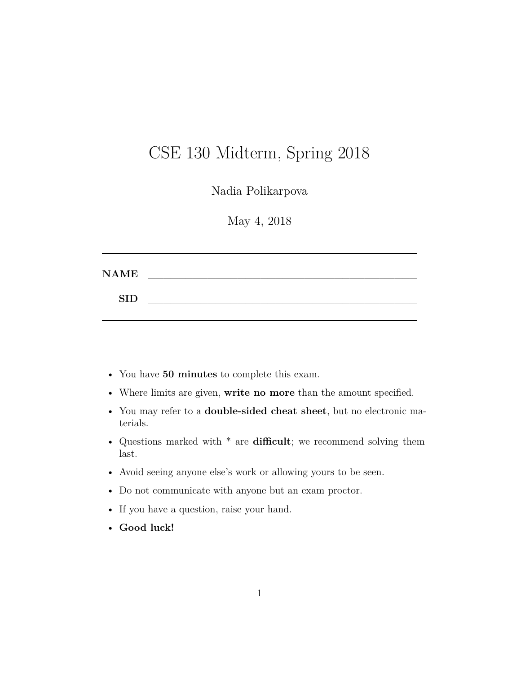# CSE 130 Midterm, Spring 2018

Nadia Polikarpova

May 4, 2018

| <b>NAME</b> |  |  |  |  |
|-------------|--|--|--|--|
| <b>SID</b>  |  |  |  |  |
|             |  |  |  |  |

- You have **50 minutes** to complete this exam.
- Where limits are given, **write no more** than the amount specified.
- You may refer to a **double-sided cheat sheet**, but no electronic materials.
- Questions marked with \* are **difficult**; we recommend solving them last.
- Avoid seeing anyone else's work or allowing yours to be seen.
- Do not communicate with anyone but an exam proctor.
- If you have a question, raise your hand.
- **Good luck!**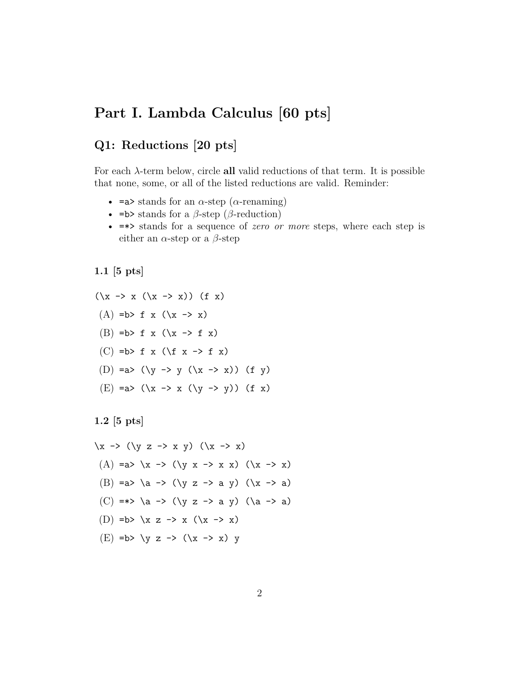# **Part I. Lambda Calculus [60 pts]**

### **Q1: Reductions [20 pts]**

For each *λ*-term below, circle **all** valid reductions of that term. It is possible that none, some, or all of the listed reductions are valid. Reminder:

- $\equiv$ a> stands for an  $\alpha$ -step ( $\alpha$ -renaming)
- =b> stands for a *β*-step (*β*-reduction)
- =\*> stands for a sequence of *zero or more* steps, where each step is either an  $\alpha$ -step or a  $\beta$ -step

**1.1 [5 pts]**

$$
(\xrightarrow{y} x (\xrightarrow{y} x)) (f x)
$$
  
(A) =b> f x (\xrightarrow{y} x)  
(B) =b> f x (\xrightarrow{y} f x)  
(C) =b> f x (\xrightarrow{y} f x)  
(D) =a> (\yrightarrow{y} (x \rightarrow x)) (f y)  
(E) =a> (\xrightarrow{y} x (\yrightarrow{y})) (f x)

**1.2 [5 pts]**

$$
\begin{array}{ccc}\n\langle x -> < \langle y & z -> & x & y \rangle & (\langle x -> & x \rangle) \\
\langle A \rangle &= a > & \langle x -> & \langle y & x -> & x \rangle & (\langle x -> & x \rangle) \\
\langle B \rangle &= a > & \langle a -> & \langle y & z -> & a & y \rangle & (\langle x -> & a \rangle) \\
\langle C \rangle &= * > & \langle a -> & \langle y & z -> & a & y \rangle & (\langle a -> & a \rangle) \\
\langle D \rangle &= b > & \langle x & z -> & \langle x -> & x \rangle & y \\
\langle E \rangle &= b > & \langle y & z -> & \langle x -> & x \rangle & y\n\end{array}
$$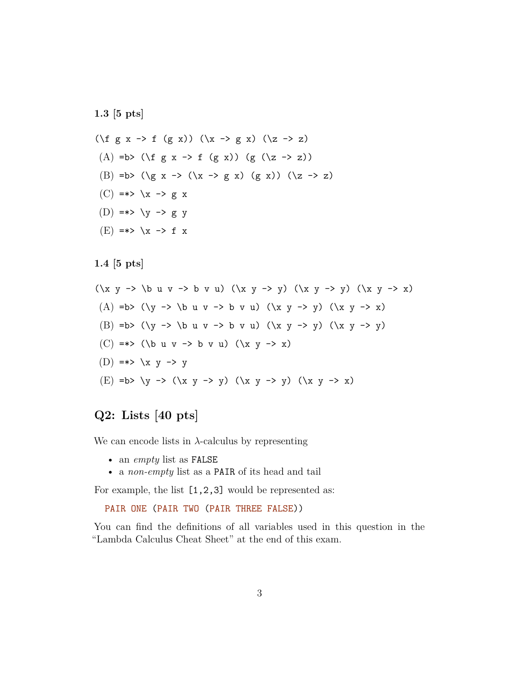**1.3 [5 pts]**

(\f g x -> f (g x)) (\x -> g x) (\z -> z) (A) =b> (\f g x -> f (g x)) (g (\z -> z)) (B) =b> (\g x -> (\x -> g x) (g x)) (\z -> z)  $(C) \Rightarrow \Rightarrow \forall x \Rightarrow g x$ (D) =\*>  $\ y \rightarrow g \ y$  $(E)$  =\*>  $\overline{X}$  -> f x

**1.4 [5 pts]**

```
\n
$$
(x \ y \rightarrow \ b \ u \ v \rightarrow b \ v \ u)
$$
\n $(x \ y \rightarrow y)$ \n $(x \ y \rightarrow x)$ \n
```
\n\n(A) =b> ((x \ y \rightarrow y)\n $(x \ y \rightarrow x)$ \n

\n\n(B) =b> ((x \ y \rightarrow y)\n $(x \ y \rightarrow y)$ \n

\n\n(C) =\*> (**b** u \ v \rightarrow b \ v \ u)\n $(x \ y \rightarrow x)$ \n

\n\n(D) =\*> \ x \ y \rightarrow y

\n\n(E) =b> \ y \rightarrow (\x y \rightarrow y)\n $(x \ y \rightarrow y)$ \n $(x \ y \rightarrow x)$ \n

### **Q2: Lists [40 pts]**

We can encode lists in  $\lambda$ -calculus by representing

- an *empty* list as FALSE
- a *non-empty* list as a PAIR of its head and tail

For example, the list [1,2,3] would be represented as:

```
PAIR ONE (PAIR TWO (PAIR THREE FALSE))
```
You can find the definitions of all variables used in this question in the "Lambda Calculus Cheat Sheet" at the end of this exam.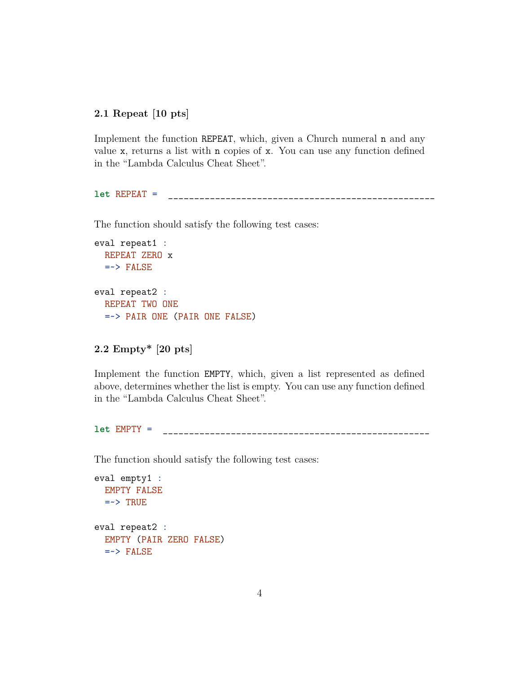#### **2.1 Repeat [10 pts]**

Implement the function REPEAT, which, given a Church numeral n and any value x, returns a list with n copies of x. You can use any function defined in the "Lambda Calculus Cheat Sheet".

**let** REPEAT = \_\_\_\_\_\_\_\_\_\_\_\_\_\_\_\_\_\_\_\_\_\_\_\_\_\_\_\_\_\_\_\_\_\_\_\_\_\_\_\_\_\_\_\_\_\_\_\_\_\_\_

The function should satisfy the following test cases:

```
eval repeat1 :
  REPEAT ZERO x
  \Rightarrow FALSE
eval repeat2 :
  REPEAT TWO ONE
  =~> PAIR ONE (PAIR ONE FALSE)
```

```
2.2 Empty* [20 pts]
```
Implement the function EMPTY, which, given a list represented as defined above, determines whether the list is empty. You can use any function defined in the "Lambda Calculus Cheat Sheet".

**let** EMPTY = \_\_\_\_\_\_\_\_\_\_\_\_\_\_\_\_\_\_\_\_\_\_\_\_\_\_\_\_\_\_\_\_\_\_\_\_\_\_\_\_\_\_\_\_\_\_\_\_\_\_\_

The function should satisfy the following test cases:

```
eval empty1 :
  EMPTY FALSE
  \Rightarrow TRUE
eval repeat2 :
  EMPTY (PAIR ZERO FALSE)
  \Rightarrow FALSE
```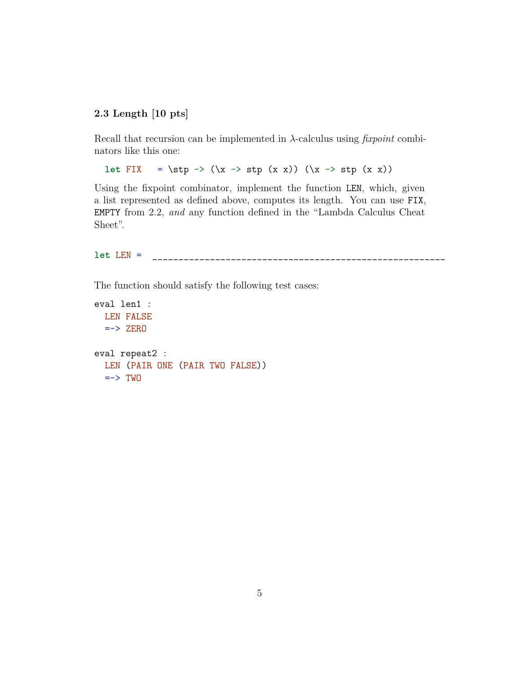#### **2.3 Length [10 pts]**

Recall that recursion can be implemented in *λ*-calculus using *fixpoint* combinators like this one:

```
let FIX = \stp \rightarrow (\x \rightarrow stp (x x)) (\x \rightarrow stp (x x))
```
Using the fixpoint combinator, implement the function LEN, which, given a list represented as defined above, computes its length. You can use FIX, EMPTY from 2.2, *and* any function defined in the "Lambda Calculus Cheat Sheet".

**let** LEN = \_\_\_\_\_\_\_\_\_\_\_\_\_\_\_\_\_\_\_\_\_\_\_\_\_\_\_\_\_\_\_\_\_\_\_\_\_\_\_\_\_\_\_\_\_\_\_\_\_\_\_\_\_\_\_\_

The function should satisfy the following test cases:

```
eval len1 :
  LEN FALSE
  \Rightarrow ZERO
eval repeat2 :
  LEN (PAIR ONE (PAIR TWO FALSE))
  \Rightarrow TWO
```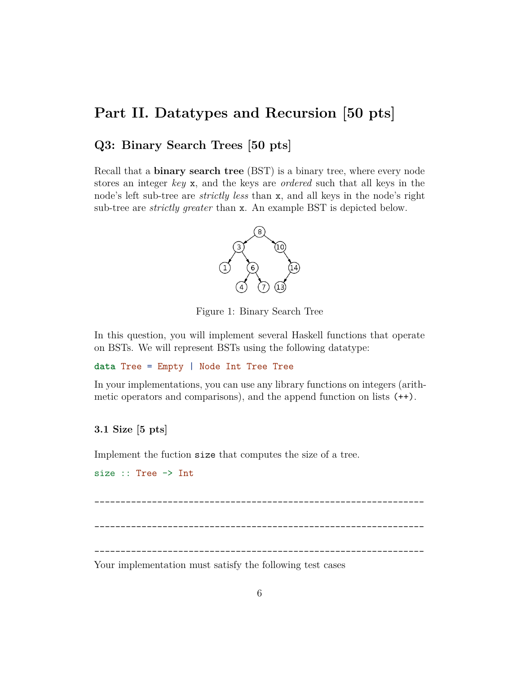# **Part II. Datatypes and Recursion [50 pts]**

### **Q3: Binary Search Trees [50 pts]**

Recall that a **binary search tree** (BST) is a binary tree, where every node stores an integer *key* x, and the keys are *ordered* such that all keys in the node's left sub-tree are *strictly less* than x, and all keys in the node's right sub-tree are *strictly greater* than x. An example BST is depicted below.



Figure 1: Binary Search Tree

In this question, you will implement several Haskell functions that operate on BSTs. We will represent BSTs using the following datatype:

**data** Tree = Empty | Node Int Tree Tree

In your implementations, you can use any library functions on integers (arithmetic operators and comparisons), and the append function on lists (++).

### **3.1 Size [5 pts]**

Implement the fuction size that computes the size of a tree.

```
size :: Tree -> Int
_______________________________________________________________
_______________________________________________________________
```
Your implementation must satisfy the following test cases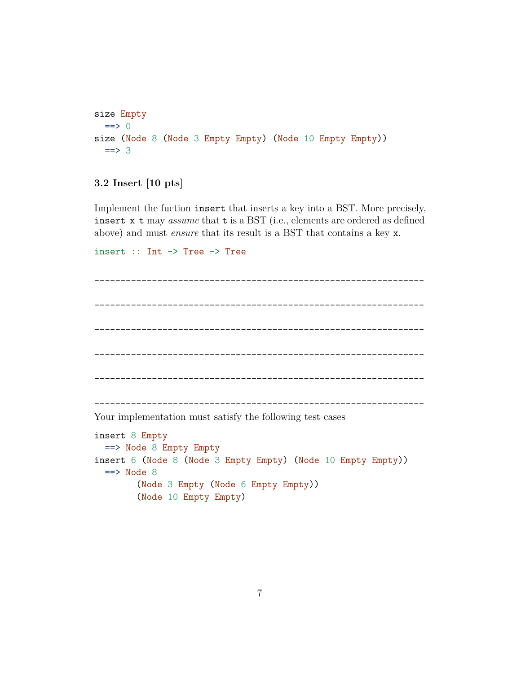```
size Empty
  \Rightarrow 0
size (Node 8 (Node 3 Empty Empty) (Node 10 Empty Empty))
  \Rightarrow 3
```
#### **3.2 Insert [10 pts]**

Implement the fuction insert that inserts a key into a BST. More precisely, insert x t may *assume* that t is a BST (i.e., elements are ordered as defined above) and must *ensure* that its result is a BST that contains a key x.

```
insert :: Int -> Tree -> Tree
```

```
_______________________________________________________________
     _______________________________________________________________
_______________________________________________________________
_______________________________________________________________
_______________________________________________________________
            _______________________________________________________________
```
Your implementation must satisfy the following test cases

```
insert 8 Empty
  ==> Node 8 Empty Empty
insert 6 (Node 8 (Node 3 Empty Empty) (Node 10 Empty Empty))
  \Rightarrow Node 8
        (Node 3 Empty (Node 6 Empty Empty))
        (Node 10 Empty Empty)
```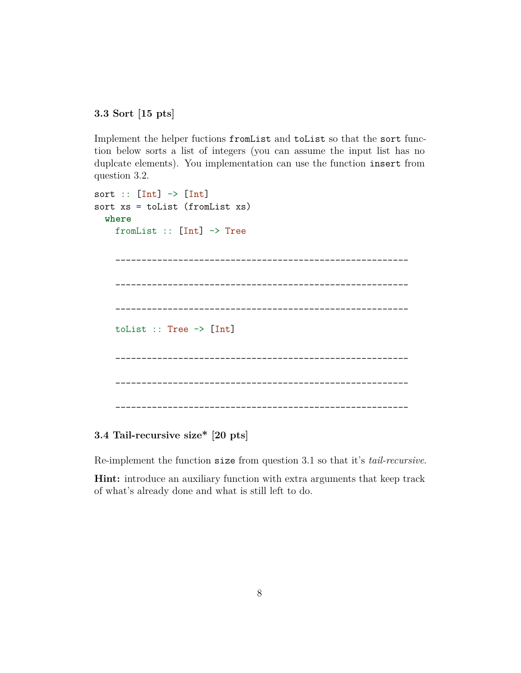**3.3 Sort [15 pts]**

Implement the helper fuctions fromList and toList so that the sort function below sorts a list of integers (you can assume the input list has no duplcate elements). You implementation can use the function insert from question 3.2.

```
sort :: [Int] \rightarrow [Int]
sort xs = toList (fromList xs)
  where
    fromList :: [Int] -> Tree
         ________________________________________________________
         ________________________________________________________
       ________________________________________________________
    toList :: Tree -> [Int]
      ________________________________________________________
             ________________________________________________________
           ________________________________________________________
```
**3.4 Tail-recursive size\* [20 pts]**

Re-implement the function size from question 3.1 so that it's *tail-recursive*.

**Hint:** introduce an auxiliary function with extra arguments that keep track of what's already done and what is still left to do.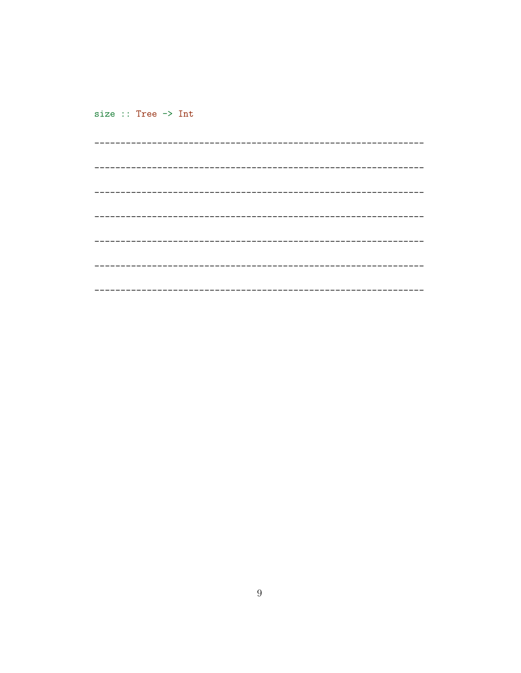size :: Tree -> Int